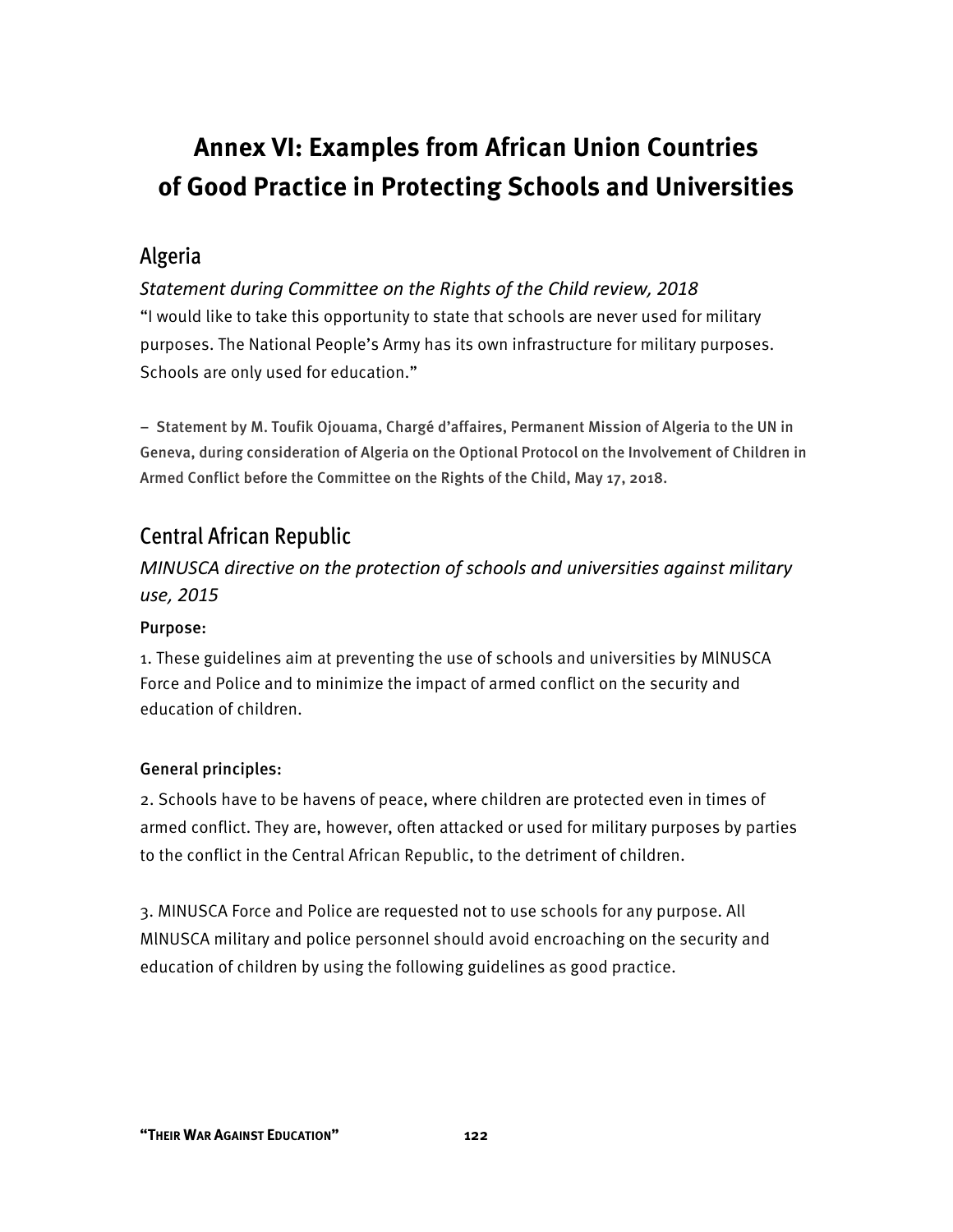# **Annex VI: Examples from African Union Countries of Good Practice in Protecting Schools and Universities**

# Algeria

*Statement during Committee on the Rights of the Child review, 2018*  "I would like to take this opportunity to state that schools are never used for military purposes. The National People's Army has its own infrastructure for military purposes. Schools are only used for education."

− Statement by M. Toufik Ojouama, Chargé d'affaires, Permanent Mission of Algeria to the UN in Geneva, during consideration of Algeria on the Optional Protocol on the Involvement of Children in Armed Conflict before the Committee on the Rights of the Child, May 17, 2018.

# Central African Republic

*MINUSCA directive on the protection of schools and universities against military use, 2015*

#### Purpose:

1. These guidelines aim at preventing the use of schools and universities by MlNUSCA Force and Police and to minimize the impact of armed conflict on the security and education of children.

#### General principles:

2. Schools have to be havens of peace, where children are protected even in times of armed conflict. They are, however, often attacked or used for military purposes by parties to the conflict in the Central African Republic, to the detriment of children.

3. MINUSCA Force and Police are requested not to use schools for any purpose. All MlNUSCA military and police personnel should avoid encroaching on the security and education of children by using the following guidelines as good practice.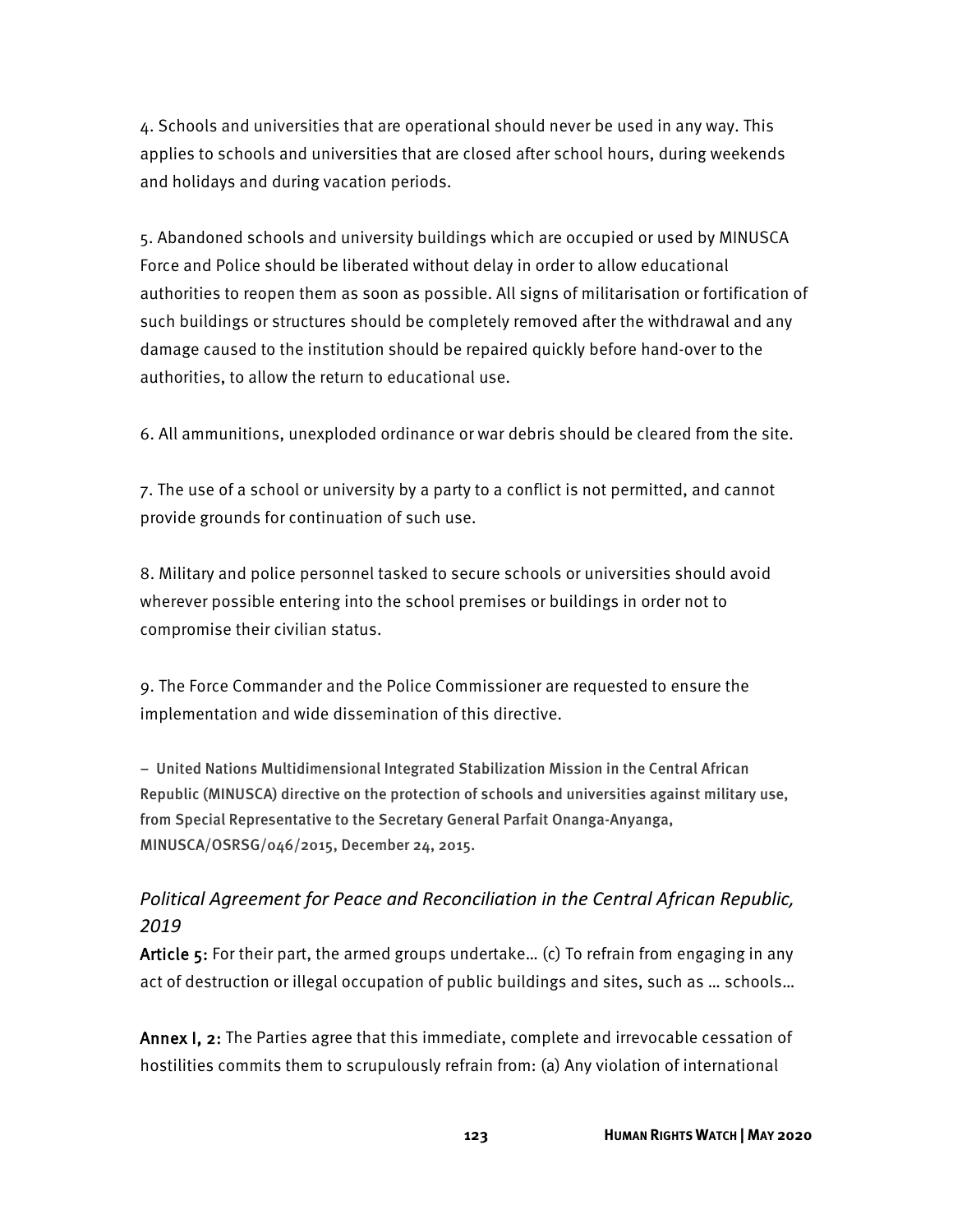4. Schools and universities that are operational should never be used in any way. This applies to schools and universities that are closed after school hours, during weekends and holidays and during vacation periods.

5. Abandoned schools and university buildings which are occupied or used by MINUSCA Force and Police should be liberated without delay in order to allow educational authorities to reopen them as soon as possible. All signs of militarisation or fortification of such buildings or structures should be completely removed after the withdrawal and any damage caused to the institution should be repaired quickly before hand-over to the authorities, to allow the return to educational use.

6. All ammunitions, unexploded ordinance or war debris should be cleared from the site.

7. The use of a school or university by a party to a conflict is not permitted, and cannot provide grounds for continuation of such use.

8. Military and police personnel tasked to secure schools or universities should avoid wherever possible entering into the school premises or buildings in order not to compromise their civilian status.

9. The Force Commander and the Police Commissioner are requested to ensure the implementation and wide dissemination of this directive.

− United Nations Multidimensional Integrated Stabilization Mission in the Central African Republic (MINUSCA) directive on the protection of schools and universities against military use, from Special Representative to the Secretary General Parfait Onanga-Anyanga, MINUSCA/OSRSG/046/2015, December 24, 2015.

### *Political Agreement for Peace and Reconciliation in the Central African Republic, 2019*

Article 5: For their part, the armed groups undertake... (c) To refrain from engaging in any act of destruction or illegal occupation of public buildings and sites, such as … schools…

Annex I, 2: The Parties agree that this immediate, complete and irrevocable cessation of hostilities commits them to scrupulously refrain from: (a) Any violation of international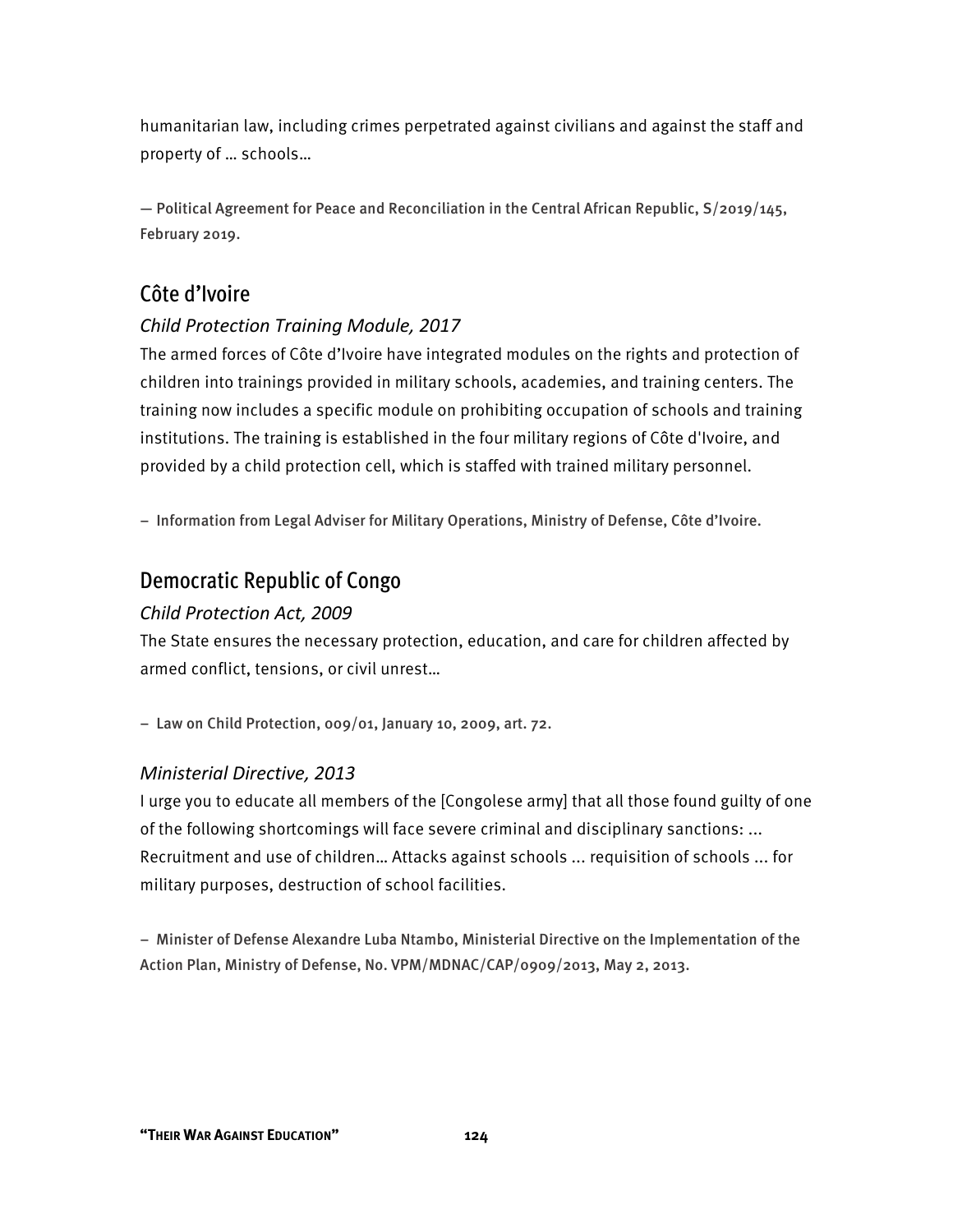humanitarian law, including crimes perpetrated against civilians and against the staff and property of … schools…

— Political Agreement for Peace and Reconciliation in the Central African Republic, S/2019/145, February 2019.

# Côte d'Ivoire

#### *Child Protection Training Module, 2017*

The armed forces of Côte d'Ivoire have integrated modules on the rights and protection of children into trainings provided in military schools, academies, and training centers. The training now includes a specific module on prohibiting occupation of schools and training institutions. The training is established in the four military regions of Côte d'Ivoire, and provided by a child protection cell, which is staffed with trained military personnel.

− Information from Legal Adviser for Military Operations, Ministry of Defense, Côte d'Ivoire.

### Democratic Republic of Congo

#### *Child Protection Act, 2009*

The State ensures the necessary protection, education, and care for children affected by armed conflict, tensions, or civil unrest…

− Law on Child Protection, 009/01, January 10, 2009, art. 72.

#### *Ministerial Directive, 2013*

I urge you to educate all members of the [Congolese army] that all those found guilty of one of the following shortcomings will face severe criminal and disciplinary sanctions: ... Recruitment and use of children… Attacks against schools ... requisition of schools ... for military purposes, destruction of school facilities.

− Minister of Defense Alexandre Luba Ntambo, Ministerial Directive on the Implementation of the Action Plan, Ministry of Defense, No. VPM/MDNAC/CAP/0909/2013, May 2, 2013.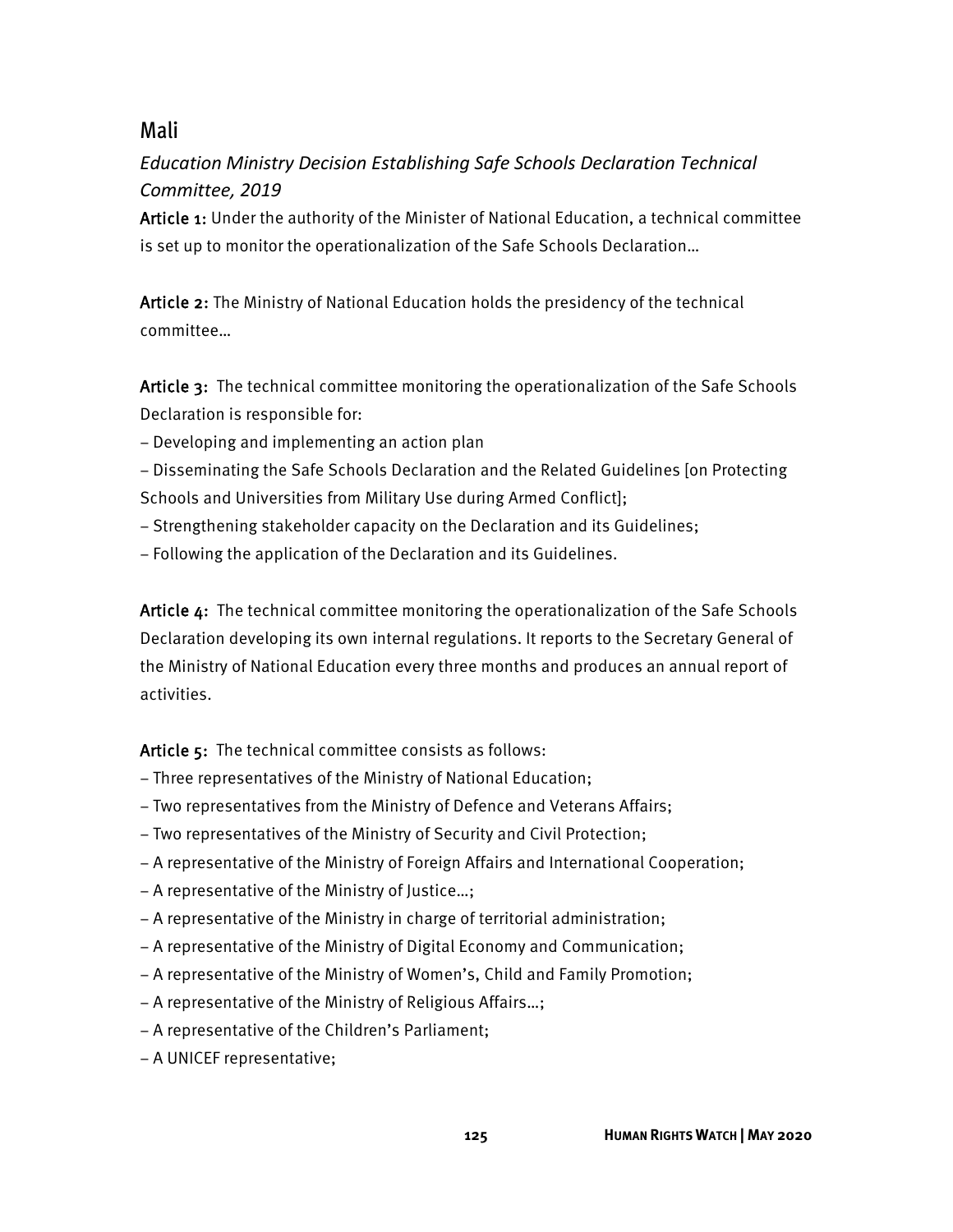# Mali

# *Education Ministry Decision Establishing Safe Schools Declaration Technical Committee, 2019*

Article 1: Under the authority of the Minister of National Education, a technical committee is set up to monitor the operationalization of the Safe Schools Declaration…

Article 2: The Ministry of National Education holds the presidency of the technical committee…

Article 3: The technical committee monitoring the operationalization of the Safe Schools Declaration is responsible for:

− Developing and implementing an action plan

− Disseminating the Safe Schools Declaration and the Related Guidelines [on Protecting Schools and Universities from Military Use during Armed Conflict];

- − Strengthening stakeholder capacity on the Declaration and its Guidelines;
- − Following the application of the Declaration and its Guidelines.

Article 4: The technical committee monitoring the operationalization of the Safe Schools Declaration developing its own internal regulations. It reports to the Secretary General of the Ministry of National Education every three months and produces an annual report of activities.

Article 5: The technical committee consists as follows:

- − Three representatives of the Ministry of National Education;
- − Two representatives from the Ministry of Defence and Veterans Affairs;
- − Two representatives of the Ministry of Security and Civil Protection;
- − A representative of the Ministry of Foreign Affairs and International Cooperation;
- − A representative of the Ministry of Justice…;
- − A representative of the Ministry in charge of territorial administration;
- − A representative of the Ministry of Digital Economy and Communication;
- − A representative of the Ministry of Women's, Child and Family Promotion;
- − A representative of the Ministry of Religious Affairs…;
- − A representative of the Children's Parliament;
- − A UNICEF representative;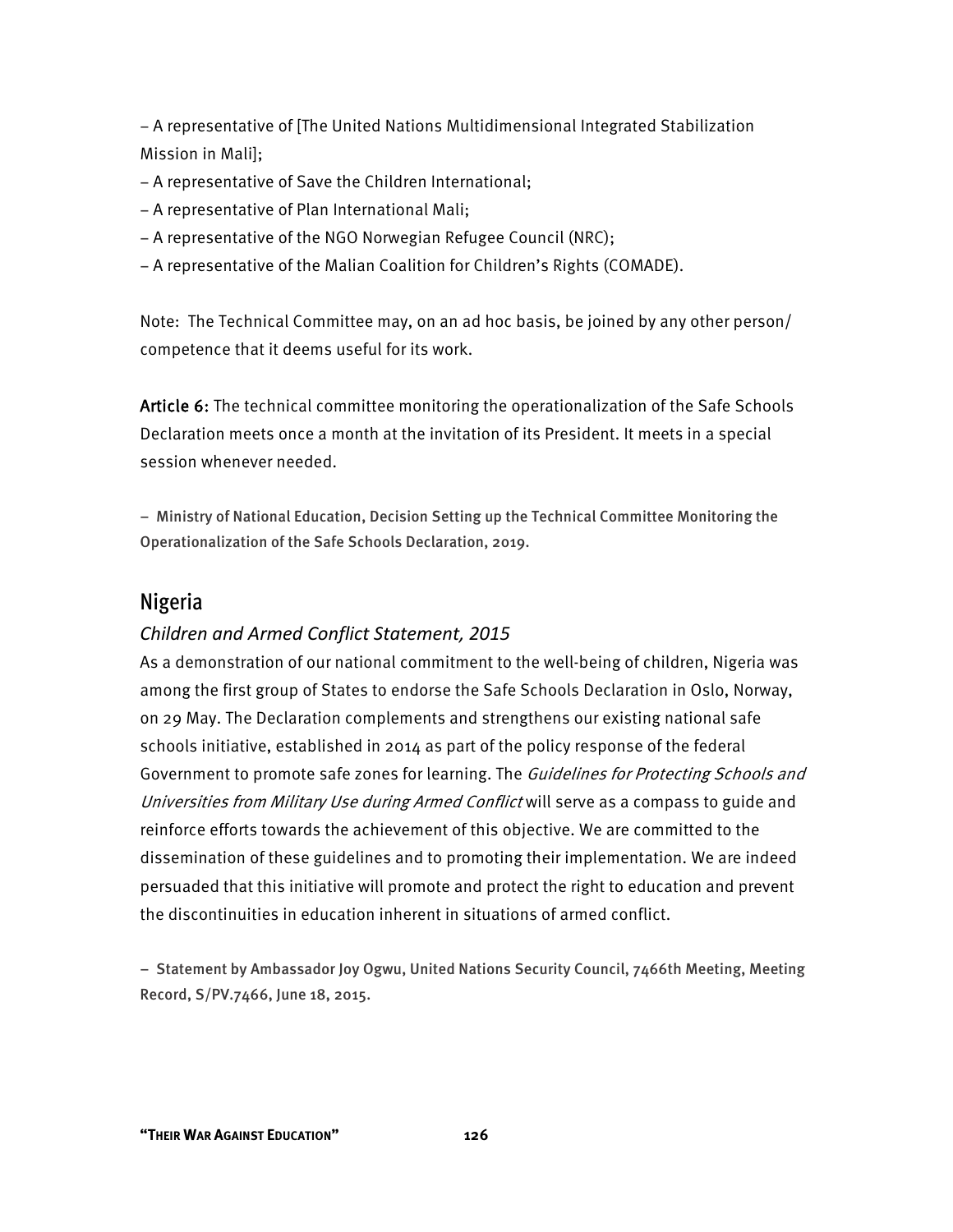− A representative of [The United Nations Multidimensional Integrated Stabilization Mission in Mali];

- − A representative of Save the Children International;
- − A representative of Plan International Mali;
- − A representative of the NGO Norwegian Refugee Council (NRC);
- − A representative of the Malian Coalition for Children's Rights (COMADE).

Note: The Technical Committee may, on an ad hoc basis, be joined by any other person/ competence that it deems useful for its work.

Article 6: The technical committee monitoring the operationalization of the Safe Schools Declaration meets once a month at the invitation of its President. It meets in a special session whenever needed.

− Ministry of National Education, Decision Setting up the Technical Committee Monitoring the Operationalization of the Safe Schools Declaration, 2019.

### Nigeria

#### *Children and Armed Conflict Statement, 2015*

As a demonstration of our national commitment to the well-being of children, Nigeria was among the first group of States to endorse the Safe Schools Declaration in Oslo, Norway, on 29 May. The Declaration complements and strengthens our existing national safe schools initiative, established in 2014 as part of the policy response of the federal Government to promote safe zones for learning. The Guidelines for Protecting Schools and Universities from Military Use during Armed Conflict will serve as a compass to guide and reinforce efforts towards the achievement of this objective. We are committed to the dissemination of these guidelines and to promoting their implementation. We are indeed persuaded that this initiative will promote and protect the right to education and prevent the discontinuities in education inherent in situations of armed conflict.

− Statement by Ambassador Joy Ogwu, United Nations Security Council, 7466th Meeting, Meeting Record, S/PV.7466, June 18, 2015.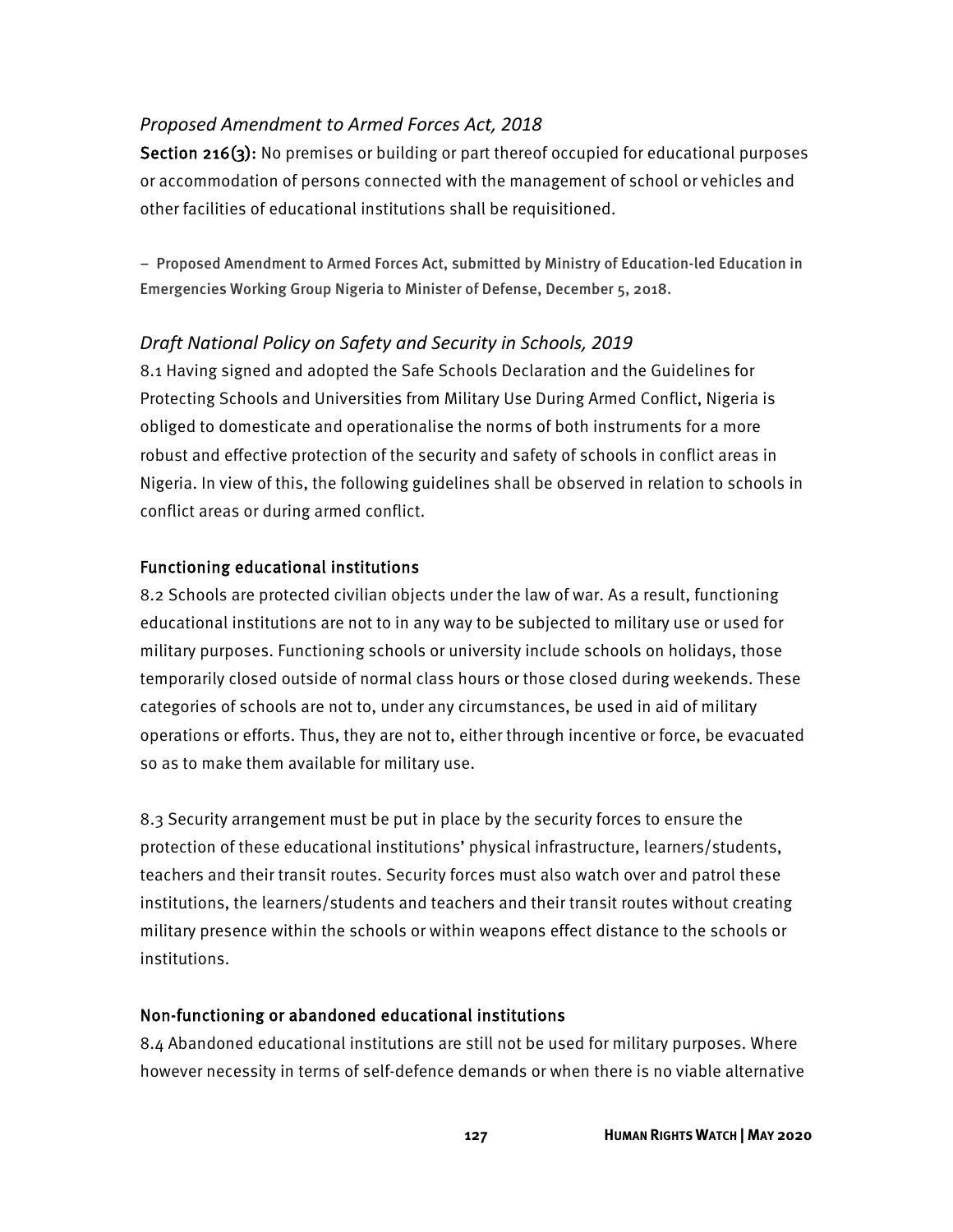#### *Proposed Amendment to Armed Forces Act, 2018*

Section 216(3): No premises or building or part thereof occupied for educational purposes or accommodation of persons connected with the management of school or vehicles and other facilities of educational institutions shall be requisitioned.

− Proposed Amendment to Armed Forces Act, submitted by Ministry of Education-led Education in Emergencies Working Group Nigeria to Minister of Defense, December 5, 2018.

#### *Draft National Policy on Safety and Security in Schools, 2019*

8.1 Having signed and adopted the Safe Schools Declaration and the Guidelines for Protecting Schools and Universities from Military Use During Armed Conflict, Nigeria is obliged to domesticate and operationalise the norms of both instruments for a more robust and effective protection of the security and safety of schools in conflict areas in Nigeria. In view of this, the following guidelines shall be observed in relation to schools in conflict areas or during armed conflict.

#### Functioning educational institutions

8.2 Schools are protected civilian objects under the law of war. As a result, functioning educational institutions are not to in any way to be subjected to military use or used for military purposes. Functioning schools or university include schools on holidays, those temporarily closed outside of normal class hours or those closed during weekends. These categories of schools are not to, under any circumstances, be used in aid of military operations or efforts. Thus, they are not to, either through incentive or force, be evacuated so as to make them available for military use.

8.3 Security arrangement must be put in place by the security forces to ensure the protection of these educational institutions' physical infrastructure, learners/students, teachers and their transit routes. Security forces must also watch over and patrol these institutions, the learners/students and teachers and their transit routes without creating military presence within the schools or within weapons effect distance to the schools or institutions.

#### Non-functioning or abandoned educational institutions

8.4 Abandoned educational institutions are still not be used for military purposes. Where however necessity in terms of self-defence demands or when there is no viable alternative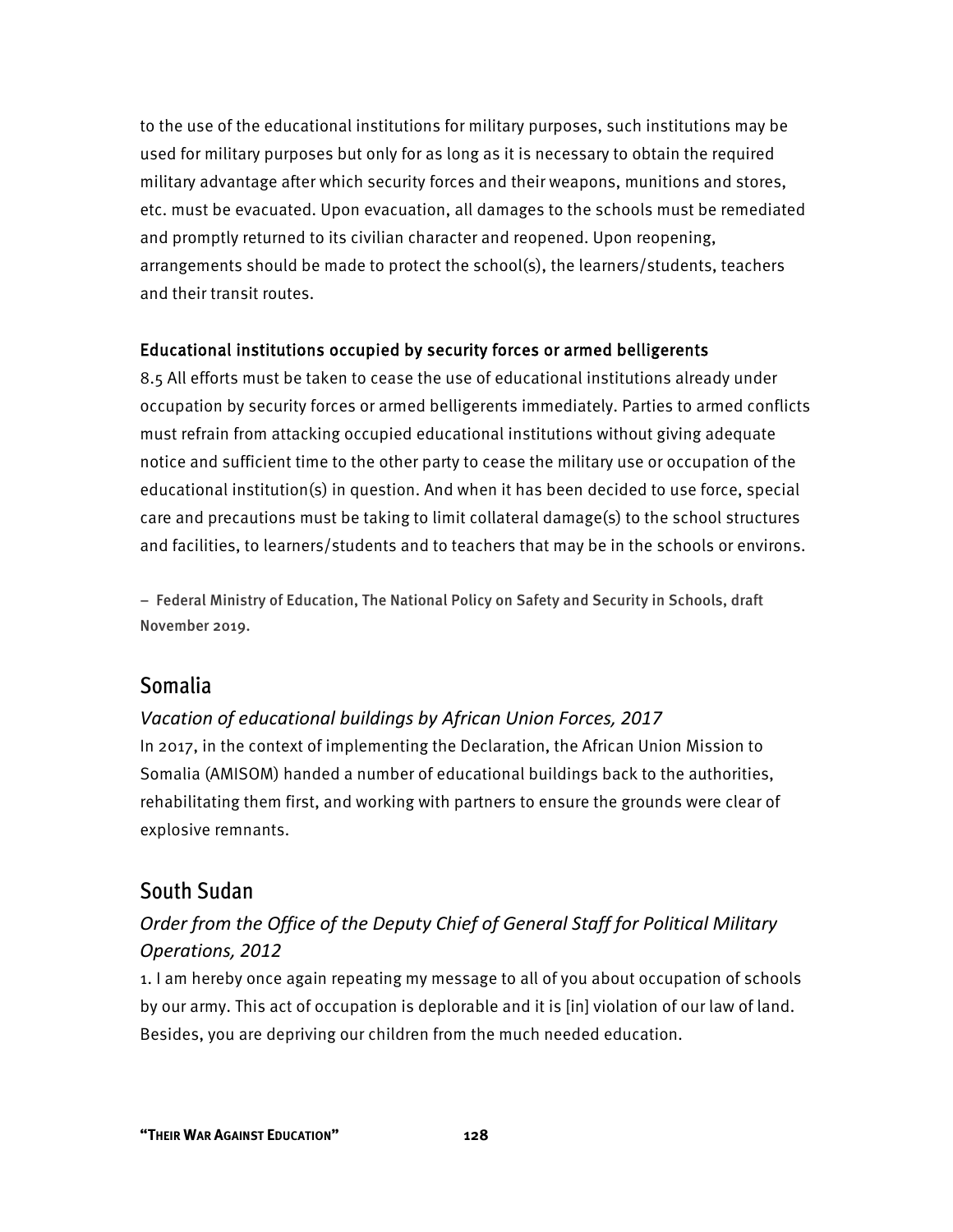to the use of the educational institutions for military purposes, such institutions may be used for military purposes but only for as long as it is necessary to obtain the required military advantage after which security forces and their weapons, munitions and stores, etc. must be evacuated. Upon evacuation, all damages to the schools must be remediated and promptly returned to its civilian character and reopened. Upon reopening, arrangements should be made to protect the school(s), the learners/students, teachers and their transit routes.

#### Educational institutions occupied by security forces or armed belligerents

8.5 All efforts must be taken to cease the use of educational institutions already under occupation by security forces or armed belligerents immediately. Parties to armed conflicts must refrain from attacking occupied educational institutions without giving adequate notice and sufficient time to the other party to cease the military use or occupation of the educational institution(s) in question. And when it has been decided to use force, special care and precautions must be taking to limit collateral damage(s) to the school structures and facilities, to learners/students and to teachers that may be in the schools or environs.

− Federal Ministry of Education, The National Policy on Safety and Security in Schools, draft November 2019.

### Somalia

#### *Vacation of educational buildings by African Union Forces, 2017*

In 2017, in the context of implementing the Declaration, the African Union Mission to Somalia (AMISOM) handed a number of educational buildings back to the authorities, rehabilitating them first, and working with partners to ensure the grounds were clear of explosive remnants.

### South Sudan

### *Order from the Office of the Deputy Chief of General Staff for Political Military Operations, 2012*

1. I am hereby once again repeating my message to all of you about occupation of schools by our army. This act of occupation is deplorable and it is [in] violation of our law of land. Besides, you are depriving our children from the much needed education.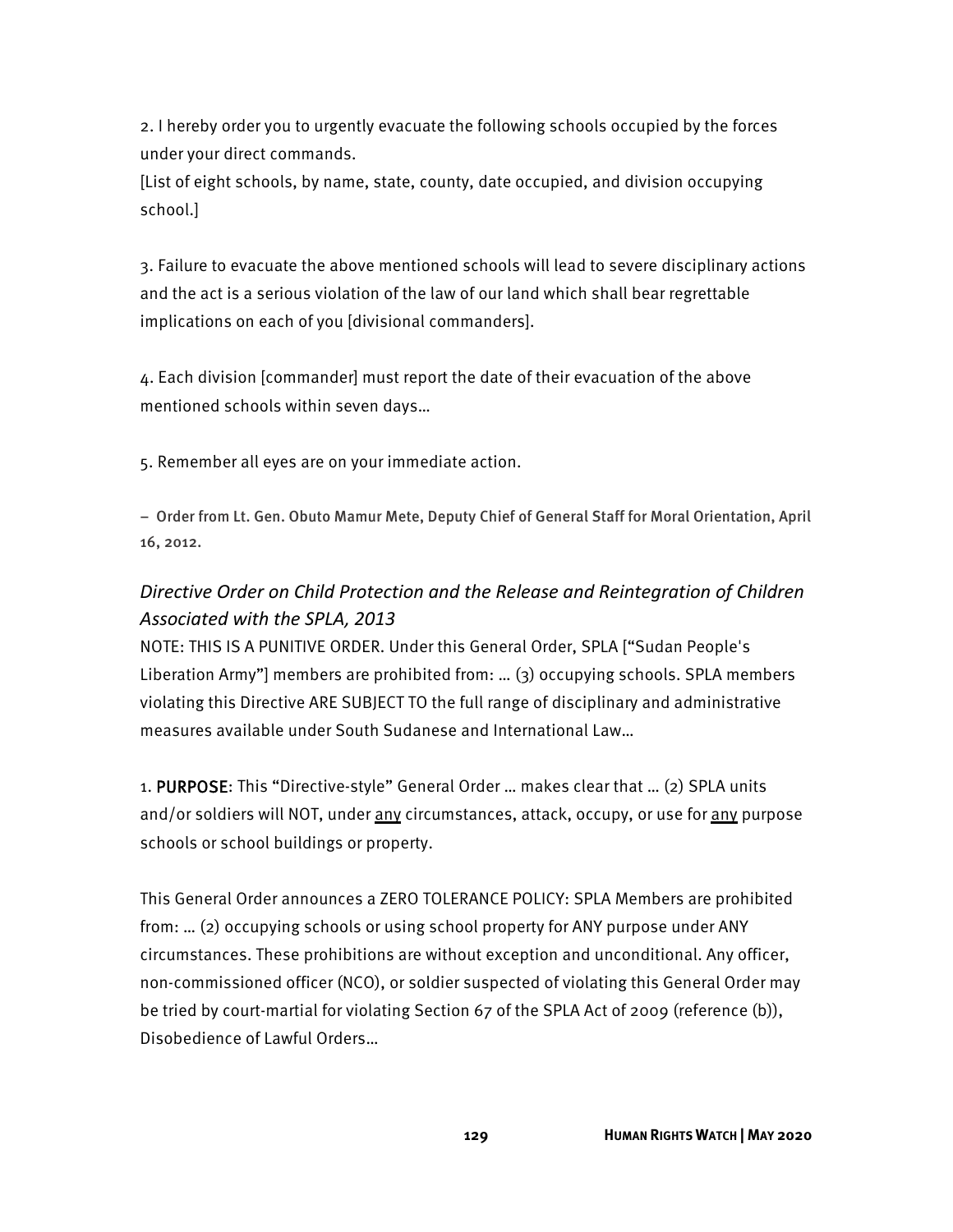2. I hereby order you to urgently evacuate the following schools occupied by the forces under your direct commands.

[List of eight schools, by name, state, county, date occupied, and division occupying school.]

3. Failure to evacuate the above mentioned schools will lead to severe disciplinary actions and the act is a serious violation of the law of our land which shall bear regrettable implications on each of you [divisional commanders].

4. Each division [commander] must report the date of their evacuation of the above mentioned schools within seven days…

5. Remember all eyes are on your immediate action.

− Order from Lt. Gen. Obuto Mamur Mete, Deputy Chief of General Staff for Moral Orientation, April 16, 2012.

### *Directive Order on Child Protection and the Release and Reintegration of Children Associated with the SPLA, 2013*

NOTE: THIS IS A PUNITIVE ORDER. Under this General Order, SPLA ["Sudan People's Liberation Army"] members are prohibited from: … (3) occupying schools. SPLA members violating this Directive ARE SUBJECT TO the full range of disciplinary and administrative measures available under South Sudanese and International Law…

1. PURPOSE: This "Directive-style" General Order … makes clear that … (2) SPLA units and/or soldiers will NOT, under any circumstances, attack, occupy, or use for any purpose schools or school buildings or property.

This General Order announces a ZERO TOLERANCE POLICY: SPLA Members are prohibited from: … (2) occupying schools or using school property for ANY purpose under ANY circumstances. These prohibitions are without exception and unconditional. Any officer, non-commissioned officer (NCO), or soldier suspected of violating this General Order may be tried by court-martial for violating Section 67 of the SPLA Act of 2009 (reference (b)), Disobedience of Lawful Orders…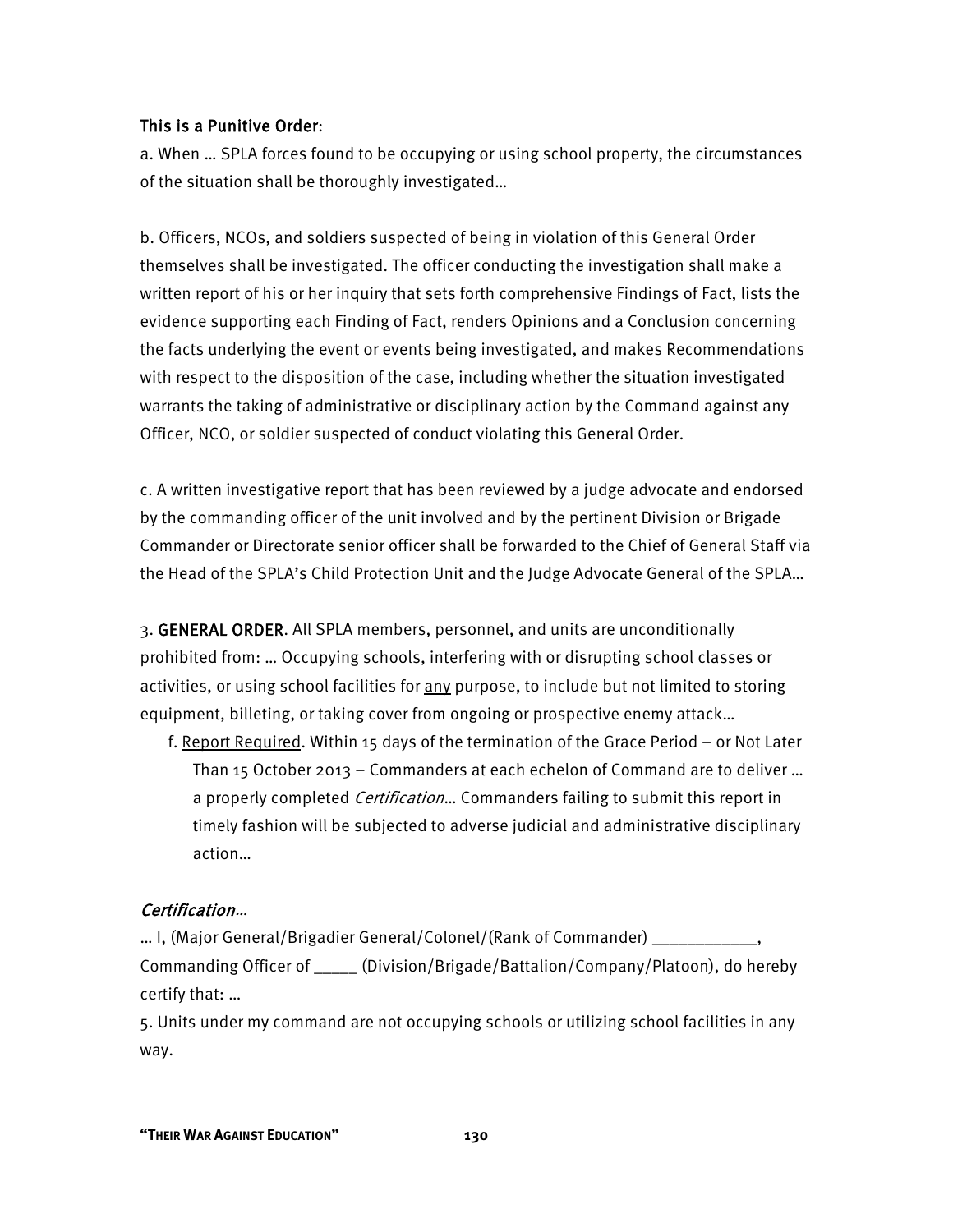#### This is a Punitive Order:

a. When … SPLA forces found to be occupying or using school property, the circumstances of the situation shall be thoroughly investigated…

b. Officers, NCOs, and soldiers suspected of being in violation of this General Order themselves shall be investigated. The officer conducting the investigation shall make a written report of his or her inquiry that sets forth comprehensive Findings of Fact, lists the evidence supporting each Finding of Fact, renders Opinions and a Conclusion concerning the facts underlying the event or events being investigated, and makes Recommendations with respect to the disposition of the case, including whether the situation investigated warrants the taking of administrative or disciplinary action by the Command against any Officer, NCO, or soldier suspected of conduct violating this General Order.

c. A written investigative report that has been reviewed by a judge advocate and endorsed by the commanding officer of the unit involved and by the pertinent Division or Brigade Commander or Directorate senior officer shall be forwarded to the Chief of General Staff via the Head of the SPLA's Child Protection Unit and the Judge Advocate General of the SPLA…

3. GENERAL ORDER. All SPLA members, personnel, and units are unconditionally prohibited from: … Occupying schools, interfering with or disrupting school classes or activities, or using school facilities for any purpose, to include but not limited to storing equipment, billeting, or taking cover from ongoing or prospective enemy attack…

f. Report Required. Within 15 days of the termination of the Grace Period – or Not Later Than 15 October 2013 – Commanders at each echelon of Command are to deliver … a properly completed *Certification*... Commanders failing to submit this report in timely fashion will be subjected to adverse judicial and administrative disciplinary action…

#### Certification…

… I, (Major General/Brigadier General/Colonel/(Rank of Commander) \_\_\_\_\_\_\_\_\_\_\_\_, Commanding Officer of \_\_\_\_\_ (Division/Brigade/Battalion/Company/Platoon), do hereby certify that: …

5. Units under my command are not occupying schools or utilizing school facilities in any way.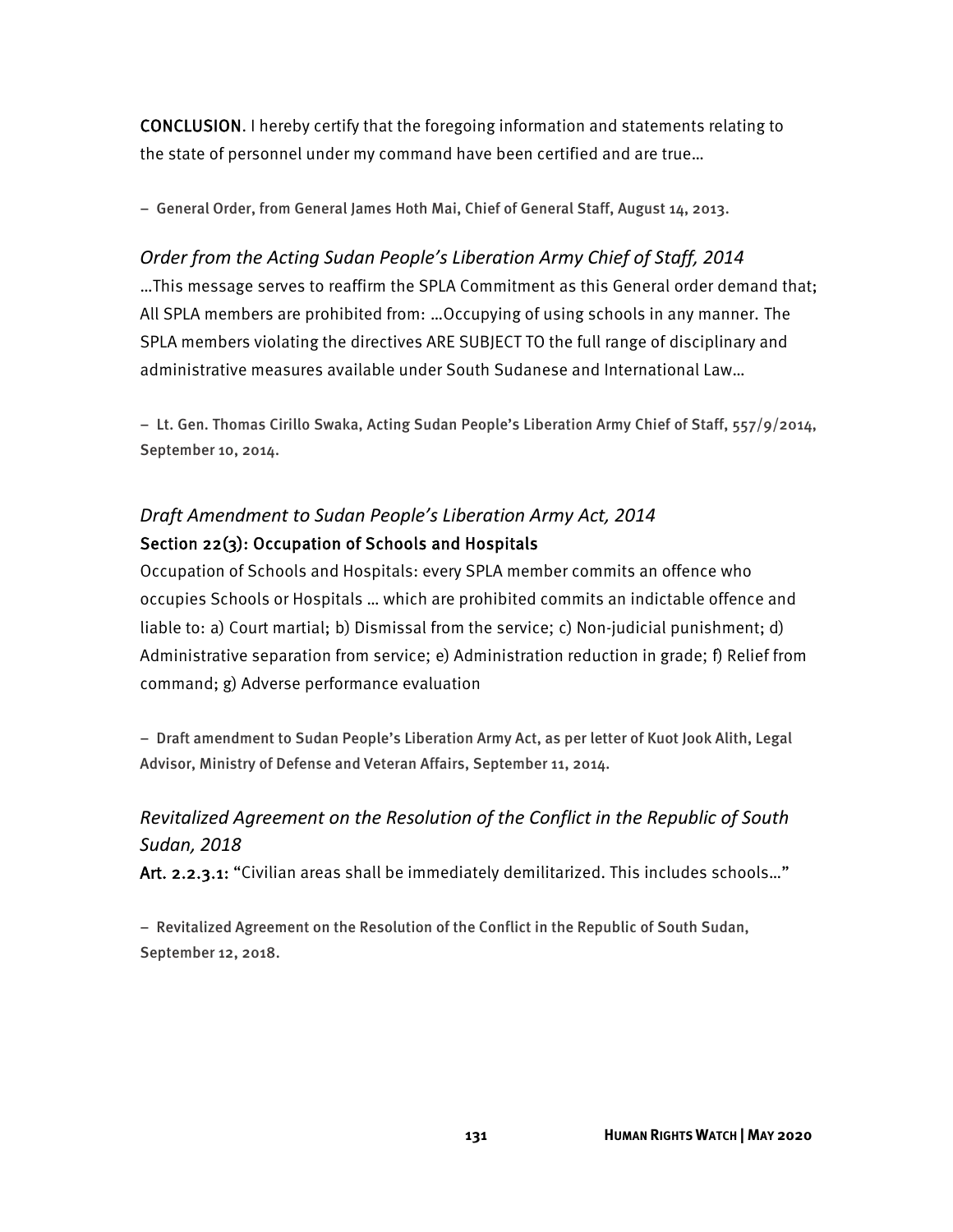CONCLUSION. I hereby certify that the foregoing information and statements relating to the state of personnel under my command have been certified and are true…

− General Order, from General James Hoth Mai, Chief of General Staff, August 14, 2013.

# *Order from the Acting Sudan People's Liberation Army Chief of Staff, 2014* …This message serves to reaffirm the SPLA Commitment as this General order demand that; All SPLA members are prohibited from: …Occupying of using schools in any manner. The SPLA members violating the directives ARE SUBJECT TO the full range of disciplinary and administrative measures available under South Sudanese and International Law…

− Lt. Gen. Thomas Cirillo Swaka, Acting Sudan People's Liberation Army Chief of Staff, 557/9/2014, September 10, 2014.

# *Draft Amendment to Sudan People's Liberation Army Act, 2014* Section 22(3): Occupation of Schools and Hospitals

Occupation of Schools and Hospitals: every SPLA member commits an offence who occupies Schools or Hospitals … which are prohibited commits an indictable offence and liable to: a) Court martial; b) Dismissal from the service; c) Non-judicial punishment; d) Administrative separation from service; e) Administration reduction in grade; f) Relief from command; g) Adverse performance evaluation

− Draft amendment to Sudan People's Liberation Army Act, as per letter of Kuot Jook Alith, Legal Advisor, Ministry of Defense and Veteran Affairs, September 11, 2014.

# *Revitalized Agreement on the Resolution of the Conflict in the Republic of South Sudan, 2018*

Art. 2.2.3.1: "Civilian areas shall be immediately demilitarized. This includes schools..."

− Revitalized Agreement on the Resolution of the Conflict in the Republic of South Sudan, September 12, 2018.